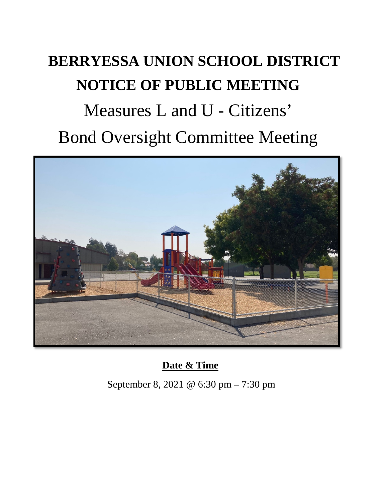# **BERRYESSA UNION SCHOOL DISTRICT NOTICE OF PUBLIC MEETING** Measures L and U - Citizens' Bond Oversight Committee Meeting



## **Date & Time**

September 8, 2021 @ 6:30 pm – 7:30 pm